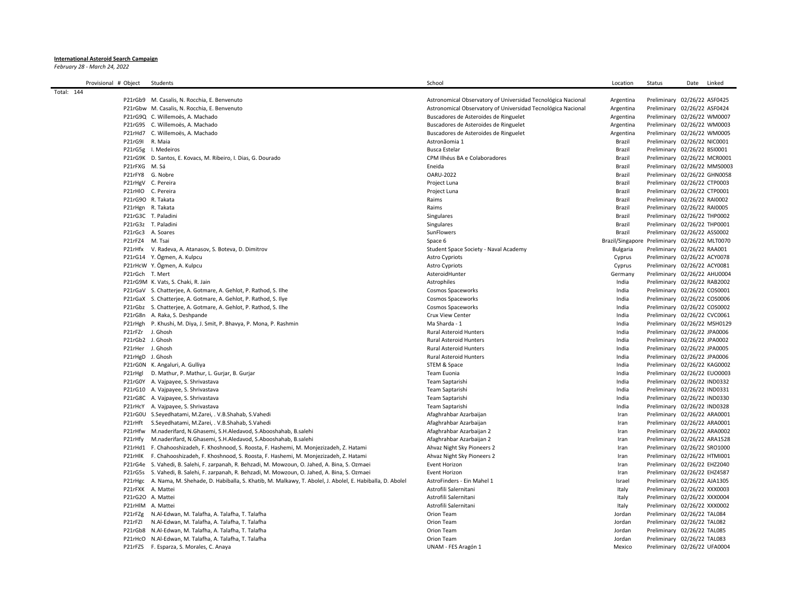## **International Asteroid Search Campaign**

*February 28 - March 24, 2022*

|            | Provisional # Object | Students                                                                                                        | School                                                       | Location         | Status                       | Date | Linked |
|------------|----------------------|-----------------------------------------------------------------------------------------------------------------|--------------------------------------------------------------|------------------|------------------------------|------|--------|
| Total: 144 |                      |                                                                                                                 |                                                              |                  |                              |      |        |
|            |                      | P21rGb9 M. Casalis, N. Rocchia, E. Benvenuto                                                                    | Astronomical Observatory of Universidad Tecnológica Nacional | Argentina        | Preliminary 02/26/22 ASF0425 |      |        |
|            |                      | P21rGbw M. Casalis, N. Rocchia, E. Benvenuto                                                                    | Astronomical Observatory of Universidad Tecnológica Nacional | Argentina        | Preliminary 02/26/22 ASF0424 |      |        |
|            |                      | P21rG9Q C. Willemoës, A. Machado                                                                                | Buscadores de Asteroides de Ringuelet                        | Argentina        | Preliminary 02/26/22 WM0007  |      |        |
|            |                      | P21rG9S C. Willemoës, A. Machado                                                                                | Buscadores de Asteroides de Ringuelet                        | Argentina        | Preliminary 02/26/22 WM0003  |      |        |
|            |                      | P21rHd7 C. Willemoës, A. Machado                                                                                | Buscadores de Asteroides de Ringuelet                        | Argentina        | Preliminary 02/26/22 WM0005  |      |        |
|            | P21rG9I R. Maia      |                                                                                                                 | Astronãomia 1                                                | Brazil           | Preliminary 02/26/22 NIC0001 |      |        |
|            |                      | P21rG5g I. Medeiros                                                                                             | <b>Busca Estelar</b>                                         | Brazil           | Preliminary 02/26/22 BSI0001 |      |        |
|            |                      | P21rG9K D. Santos, E. Kovacs, M. Ribeiro, I. Dias, G. Dourado                                                   | CPM Ilhéus BA e Colaboradores                                | Brazil           | Preliminary 02/26/22 MCR0001 |      |        |
|            | P21rFXG M. Sá        |                                                                                                                 | Eneida                                                       | Brazil           | Preliminary 02/26/22 MMS0003 |      |        |
|            |                      | P21rFY8 G. Nobre                                                                                                | <b>OARU-2022</b>                                             | Brazil           | Preliminary 02/26/22 GHN0058 |      |        |
|            |                      | P21rHgV C. Pereira                                                                                              | Project Luna                                                 | Brazil           | Preliminary 02/26/22 CTP0003 |      |        |
|            |                      | P21rHIO C. Pereira                                                                                              | Project Luna                                                 | Brazil           | Preliminary 02/26/22 CTP0001 |      |        |
|            |                      | P21rG9O R. Takata                                                                                               | Raims                                                        | Brazil           | Preliminary 02/26/22 RAI0002 |      |        |
|            |                      | P21rHgn R. Takata                                                                                               | Raims                                                        | Brazil           | Preliminary 02/26/22 RAI0005 |      |        |
|            |                      | P21rG3C T. Paladini                                                                                             | Singulares                                                   | Brazil           | Preliminary 02/26/22 THP0002 |      |        |
|            |                      | P21rG3z T. Paladini                                                                                             | Singulares                                                   | Brazil           | Preliminary 02/26/22 THP0001 |      |        |
|            |                      | P21rGc3 A. Soares                                                                                               | SunFlowers                                                   | <b>Brazil</b>    | Preliminary 02/26/22 ASS0002 |      |        |
|            | P21rFZ4 M. Tsai      |                                                                                                                 | Space 6                                                      | Brazil/Singapore | Preliminary 02/26/22 MLT0070 |      |        |
|            |                      | P21rHfx V. Radeva, A. Atanasov, S. Boteva, D. Dimitrov                                                          | Student Space Society - Naval Academy                        | Bulgaria         | Preliminary 02/26/22 RAA001  |      |        |
|            |                      | P21rG14 Y. Ögmen, A. Kulpcu                                                                                     | <b>Astro Cypriots</b>                                        | Cyprus           | Preliminary 02/26/22 ACY0078 |      |        |
|            |                      | P21rHcW Y. Ögmen, A. Kulpcu                                                                                     | Astro Cypriots                                               | Cyprus           | Preliminary 02/26/22 ACY0081 |      |        |
|            | P21rGch T. Mert      |                                                                                                                 | AsteroidHunter                                               | Germany          | Preliminary 02/26/22 AHU0004 |      |        |
|            |                      | P21rG9M K. Vats, S. Chaki, R. Jain                                                                              | Astrophiles                                                  | India            | Preliminary 02/26/22 RAB2002 |      |        |
|            |                      | P21rGaV S. Chatterjee, A. Gotmare, A. Gehlot, P. Rathod, S. Ilhe                                                | Cosmos Spaceworks                                            | India            | Preliminary 02/26/22 COS0001 |      |        |
|            |                      | P21rGaX S. Chatterjee, A. Gotmare, A. Gehlot, P. Rathod, S. Ilye                                                | Cosmos Spaceworks                                            | India            | Preliminary 02/26/22 COS0006 |      |        |
|            |                      | P21rGbz S. Chatterjee, A. Gotmare, A. Gehlot, P. Rathod, S. Ilhe                                                | <b>Cosmos Spaceworks</b>                                     | India            | Preliminary 02/26/22 COS0002 |      |        |
|            |                      | P21rG8n A. Raka, S. Deshpande                                                                                   | <b>Crux View Center</b>                                      | India            | Preliminary 02/26/22 CVC0061 |      |        |
|            |                      | P21rHgh P. Khushi, M. Diya, J. Smit, P. Bhavya, P. Mona, P. Rashmin                                             | Ma Sharda - 1                                                | India            | Preliminary 02/26/22 MSH0129 |      |        |
|            |                      | P21rFZr J. Ghosh                                                                                                | <b>Rural Asteroid Hunters</b>                                | India            | Preliminary 02/26/22 JPA0006 |      |        |
|            |                      | P21rGb2 J. Ghosh                                                                                                | <b>Rural Asteroid Hunters</b>                                | India            | Preliminary 02/26/22 JPA0002 |      |        |
|            |                      | P21rHer J. Ghosh                                                                                                | <b>Rural Asteroid Hunters</b>                                | India            | Preliminary 02/26/22 JPA0005 |      |        |
|            |                      | P21rHgD J. Ghosh                                                                                                | <b>Rural Asteroid Hunters</b>                                | India            | Preliminary 02/26/22 JPA0006 |      |        |
|            |                      | P21rG0N K. Angaluri, A. Gulliya                                                                                 | STEM & Space                                                 | India            | Preliminary 02/26/22 KAG0002 |      |        |
|            | P21rHgl              | D. Mathur, P. Mathur, L. Gurjar, B. Gurjar                                                                      | Team Euonia                                                  | India            | Preliminary 02/26/22 EUO0003 |      |        |
|            |                      | P21rG0Y A. Vajpayee, S. Shrivastava                                                                             | Team Saptarishi                                              | India            | Preliminary 02/26/22 IND0332 |      |        |
|            |                      | P21rG10 A. Vajpayee, S. Shrivastava                                                                             | Team Saptarishi                                              | India            | Preliminary 02/26/22 IND0331 |      |        |
|            |                      | P21rG8C A. Vajpayee, S. Shrivastava                                                                             | Team Saptarishi                                              | India            | Preliminary 02/26/22 IND0330 |      |        |
|            |                      | P21rHcY A. Vajpayee, S. Shrivastava                                                                             | Team Saptarishi                                              | India            | Preliminary 02/26/22 IND0328 |      |        |
|            |                      | P21rG0U S.Seyedhatami, M.Zarei, . V.B.Shahab, S.Vahedi                                                          | Afaghrahbar Azarbaijan                                       | Iran             | Preliminary 02/26/22 ARA0001 |      |        |
|            |                      | P21rHft S.Seyedhatami, M.Zarei, . V.B.Shahab, S.Vahedi                                                          | Afaghrahbar Azarbaijan                                       | Iran             | Preliminary 02/26/22 ARA0001 |      |        |
|            |                      | P21rHfw M.naderifard, N.Ghasemi, S.H.Aledavod, S.Abooshahab, B.salehi                                           | Afaghrahbar Azarbaijan 2                                     | Iran             | Preliminary 02/26/22 ARA0002 |      |        |
|            |                      | P21rHfy M.naderifard, N.Ghasemi, S.H.Aledavod, S.Abooshahab, B.salehi                                           | Afaghrahbar Azarbaijan 2                                     | Iran             | Preliminary 02/26/22 ARA1528 |      |        |
|            |                      | P21rHd1 F. Chahooshizadeh, F. Khoshnood, S. Roosta, F. Hashemi, M. Monjezizadeh, Z. Hatami                      | Ahvaz Night Sky Pioneers 2                                   | Iran             | Preliminary 02/26/22 SRO1000 |      |        |
|            |                      | P21rHIK F. Chahooshizadeh, F. Khoshnood, S. Roosta, F. Hashemi, M. Monjezizadeh, Z. Hatami                      | Ahvaz Night Sky Pioneers 2                                   | Iran             | Preliminary 02/26/22 HTMI001 |      |        |
|            |                      | P21rG4e S. Vahedi, B. Salehi, F. zarpanah, R. Behzadi, M. Mowzoun, O. Jahed, A. Bina, S. Ozmaei                 | Event Horizon                                                | Iran             | Preliminary 02/26/22 EHZ2040 |      |        |
|            |                      | P21rG5s S. Vahedi, B. Salehi, F. zarpanah, R. Behzadi, M. Mowzoun, O. Jahed, A. Bina, S. Ozmaei                 | Event Horizon                                                | Iran             | Preliminary 02/26/22 EHZ4587 |      |        |
|            |                      | P21rHgc A. Nama, M. Shehade, D. Habiballa, S. Khatib, M. Malkawy, T. Abolel, J. Abolel, E. Habiballa, D. Abolel | AstroFinders - Ein Mahel 1                                   | Israel           | Preliminary 02/26/22 AJA1305 |      |        |
|            |                      | P21rFXK A. Mattei                                                                                               | Astrofili Salernitani                                        | Italy            | Preliminary 02/26/22 XXX0003 |      |        |
|            |                      | P21rG2O A. Mattei                                                                                               | Astrofili Salernitani                                        | Italy            | Preliminary 02/26/22 XXX0004 |      |        |
|            |                      | P21rHlM A. Mattei                                                                                               | Astrofili Salernitani                                        | Italy            | Preliminary 02/26/22 XXX0002 |      |        |
|            |                      | P21rFZg N.Al-Edwan, M. Talafha, A. Talafha, T. Talafha                                                          | Orion Team                                                   | Jordan           | Preliminary 02/26/22 TAL084  |      |        |
|            | P21rFZI              | N.Al-Edwan, M. Talafha, A. Talafha, T. Talafha                                                                  | Orion Team                                                   | Jordan           | Preliminary 02/26/22 TAL082  |      |        |
|            |                      | P21rGb8 N.Al-Edwan, M. Talafha, A. Talafha, T. Talafha                                                          | Orion Team                                                   | Jordan           | Preliminary 02/26/22 TAL085  |      |        |
|            |                      | P21rHcO N.Al-Edwan, M. Talafha, A. Talafha, T. Talafha                                                          | Orion Team                                                   | Jordan           | Preliminary 02/26/22 TAL083  |      |        |
|            |                      | P21rFZS F. Esparza, S. Morales, C. Anaya                                                                        | UNAM - FES Aragón 1                                          | Mexico           | Preliminary 02/26/22 UFA0004 |      |        |
|            |                      |                                                                                                                 |                                                              |                  |                              |      |        |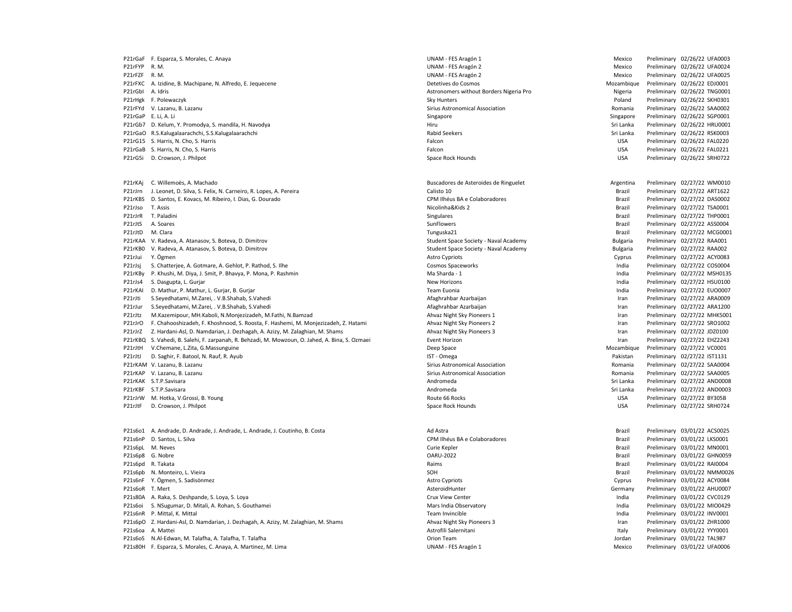|                 | P21rGaF F. Esparza, S. Morales, C. Anaya                                                        | UNAM - FES Aragón 1                     | Mexico     | Preliminary 02/26/22 UFA0003 |
|-----------------|-------------------------------------------------------------------------------------------------|-----------------------------------------|------------|------------------------------|
| P21rFYP R.M.    |                                                                                                 | UNAM - FES Aragón 2                     | Mexico     | Preliminary 02/26/22 UFA0024 |
| P21rFZF         | R. M.                                                                                           | UNAM - FES Aragón 2                     | Mexico     | Preliminary 02/26/22 UFA0025 |
| P21rFXC         | A. Izidine, B. Machipane, N. Alfredo, E. Jequecene                                              | Detetives do Cosmos                     | Mozambique | Preliminary 02/26/22 EDJ0001 |
| P21rGbI         | A. Idris                                                                                        | Astronomers without Borders Nigeria Pro | Nigeria    | Preliminary 02/26/22 TNG0001 |
|                 | P21rHgk F. Polewaczyk                                                                           | Sky Hunters                             | Poland     | Preliminary 02/26/22 SKH0301 |
|                 | P21rFYd V. Lazanu, B. Lazanu                                                                    | Sirius Astronomical Association         | Romania    | Preliminary 02/26/22 SAA0002 |
|                 | P21rGaP E. Li, A. Li                                                                            | Singapore                               | Singapore  | Preliminary 02/26/22 SGP0001 |
|                 | P21rGb7 D. Kelum, Y. Promodya, S. mandila, H. Navodya                                           | Hiru                                    | Sri Lanka  | Preliminary 02/26/22 HRU0001 |
|                 | P21rGaO R.S.Kalugalaarachchi, S.S.Kalugalaarachchi                                              | <b>Rabid Seekers</b>                    | Sri Lanka  | Preliminary 02/26/22 RSK0003 |
|                 | P21rG15 S. Harris, N. Cho, S. Harris                                                            | Falcon                                  | <b>USA</b> | Preliminary 02/26/22 FAL0220 |
|                 | P21rGaB S. Harris, N. Cho, S. Harris                                                            | Falcon                                  | <b>USA</b> | Preliminary 02/26/22 FAL0221 |
| P21rG5i         | D. Crowson, J. Philpot                                                                          | Space Rock Hounds                       | <b>USA</b> | Preliminary 02/26/22 SRH0722 |
|                 |                                                                                                 |                                         |            |                              |
| P21rKAj         | C. Willemoës, A. Machado                                                                        | Buscadores de Asteroides de Ringuelet   | Argentina  | Preliminary 02/27/22 WM0010  |
| P21rJrn         | J. Leonet, D. Silva, S. Felix, N. Carneiro, R. Lopes, A. Pereira                                | Calisto 10                              | Brazil     | Preliminary 02/27/22 ART1622 |
| P21rKBS         | D. Santos, E. Kovacs, M. Ribeiro, I. Dias, G. Dourado                                           | CPM Ilhéus BA e Colaboradores           | Brazil     | Preliminary 02/27/22 DAS0002 |
| P21rJso         | T. Assis                                                                                        | Nicolinha&Kids 2                        | Brazil     | Preliminary 02/27/22 TSA0001 |
| P21rJrR         | T. Paladini                                                                                     | Singulares                              | Brazil     | Preliminary 02/27/22 THP0001 |
| P21rJtS         | A. Soares                                                                                       | SunFlowers                              | Brazil     | Preliminary 02/27/22 ASS0004 |
| P21rJtD         | M. Clara                                                                                        | Tunguska21                              | Brazil     | Preliminary 02/27/22 MCG0001 |
| P21rKAA         | V. Radeva, A. Atanasov, S. Boteva, D. Dimitrov                                                  | Student Space Society - Naval Academy   | Bulgaria   | Preliminary 02/27/22 RAA001  |
| P21rKB0         | V. Radeva, A. Atanasov, S. Boteva, D. Dimitrov                                                  |                                         |            | Preliminary 02/27/22 RAA002  |
|                 | Y. Ögmen                                                                                        | Student Space Society - Naval Academy   | Bulgaria   |                              |
| P21rJui         |                                                                                                 | <b>Astro Cypriots</b>                   | Cyprus     | Preliminary 02/27/22 ACY0083 |
| P21rJsj         | S. Chatterjee, A. Gotmare, A. Gehlot, P. Rathod, S. Ilhe                                        | Cosmos Spaceworks                       | India      | Preliminary 02/27/22 COS0004 |
| P21rKBy         | P. Khushi, M. Diya, J. Smit, P. Bhavya, P. Mona, P. Rashmin                                     | Ma Sharda - 1                           | India      | Preliminary 02/27/22 MSH0135 |
| P21rJs4         | S. Dasgupta, L. Gurjar                                                                          | New Horizons                            | India      | Preliminary 02/27/22 HSU0100 |
| P21rKAI         | D. Mathur, P. Mathur, L. Gurjar, B. Gurjar                                                      | Team Euonia                             | India      | Preliminary 02/27/22 EUO0007 |
| P21rJti         | S.Seyedhatami, M.Zarei, . V.B.Shahab, S.Vahedi                                                  | Afaghrahbar Azarbaijan                  | Iran       | Preliminary 02/27/22 ARA0009 |
| P21rJur         | S.Seyedhatami, M.Zarei, . V.B.Shahab, S.Vahedi                                                  | Afaghrahbar Azarbaijan                  | Iran       | Preliminary 02/27/22 ARA1200 |
| P21rJtz         | M.Kazemipour, MH.Kaboli, N.Monjezizadeh, M.Fathi, N.Bamzad                                      | Ahvaz Night Sky Pioneers 1              | Iran       | Preliminary 02/27/22 MHK5001 |
| P21rJrO         | F. Chahooshizadeh, F. Khoshnood, S. Roosta, F. Hashemi, M. Monjezizadeh, Z. Hatami              | Ahvaz Night Sky Pioneers 2              | Iran       | Preliminary 02/27/22 SRO1002 |
| P21rJrZ         | Z. Hardani-Asl, D. Namdarian, J. Dezhagah, A. Azizy, M. Zalaghian, M. Shams                     | Ahvaz Night Sky Pioneers 3              | Iran       | Preliminary 02/27/22 JDZ0100 |
|                 | P21rKBQ S. Vahedi, B. Salehi, F. zarpanah, R. Behzadi, M. Mowzoun, O. Jahed, A. Bina, S. Ozmaei | Event Horizon                           | Iran       | Preliminary 02/27/22 EHZ2243 |
| P21rJtH         | V.Chemane, L.Zita, G.Massunguine                                                                | Deep Space                              | Mozambique | Preliminary 02/27/22 VC0001  |
| P21rJtJ         | D. Saghir, F. Batool, N. Rauf, R. Ayub                                                          | IST - Omega                             | Pakistan   | Preliminary 02/27/22 IST1131 |
|                 | P21rKAM V. Lazanu, B. Lazanu                                                                    | Sirius Astronomical Association         | Romania    | Preliminary 02/27/22 SAA0004 |
|                 | P21rKAP V. Lazanu, B. Lazanu                                                                    | Sirius Astronomical Association         | Romania    | Preliminary 02/27/22 SAA0005 |
|                 | P21rKAK S.T.P.Savisara                                                                          | Andromeda                               | Sri Lanka  | Preliminary 02/27/22 AND0008 |
|                 | P21rKBF S.T.P.Savisara                                                                          | Andromeda                               | Sri Lanka  | Preliminary 02/27/22 AND0003 |
| P21rJrW         | M. Hotka, V.Grossi, B. Young                                                                    | Route 66 Rocks                          | <b>USA</b> | Preliminary 02/27/22 BY305B  |
| P21rJtF         | D. Crowson, J. Philpot                                                                          | Space Rock Hounds                       | <b>USA</b> | Preliminary 02/27/22 SRH0724 |
|                 |                                                                                                 |                                         |            |                              |
|                 | P21s6o1 A. Andrade, D. Andrade, J. Andrade, L. Andrade, J. Coutinho, B. Costa                   | Ad Astra                                | Brazil     | Preliminary 03/01/22 ACS0025 |
| P21s6nP         | D. Santos, L. Silva                                                                             | CPM Ilhéus BA e Colaboradores           | Brazil     | Preliminary 03/01/22 LKS0001 |
| P21s6pL         | M. Neves                                                                                        | Curie Kepler                            | Brazil     | Preliminary 03/01/22 MN0001  |
|                 | P21s6p8 G. Nobre                                                                                | <b>OARU-2022</b>                        | Brazil     | Preliminary 03/01/22 GHN0059 |
|                 | P21s6pd R. Takata                                                                               | Raims                                   | Brazil     | Preliminary 03/01/22 RAI0004 |
| P21s6pb         | N. Monteiro, L. Vieira                                                                          | SOH                                     | Brazil     | Preliminary 03/01/22 NMM0026 |
|                 | P21s6nF Y. Ögmen, S. Sadisönmez                                                                 | <b>Astro Cypriots</b>                   | Cyprus     | Preliminary 03/01/22 ACY0084 |
| P21s6oR T. Mert |                                                                                                 | AsteroidHunter                          | Germany    | Preliminary 03/01/22 AHU0007 |
|                 | P21s80A A. Raka, S. Deshpande, S. Loya, S. Loya                                                 | Crux View Center                        | India      | Preliminary 03/01/22 CVC0129 |
| P21s6oi         | S. NSugumar, D. Mitali, A. Rohan, S. Gouthamei                                                  | Mars India Observatory                  | India      | Preliminary 03/01/22 MIO0429 |
|                 | P21s6nR P. Mittal, K. Mittal                                                                    | Team Invincible                         | India      | Preliminary 03/01/22 INV0001 |
|                 | P21s6pO Z. Hardani-Asl, D. Namdarian, J. Dezhagah, A. Azizy, M. Zalaghian, M. Shams             | Ahvaz Night Sky Pioneers 3              | Iran       | Preliminary 03/01/22 ZHR1000 |
|                 | P21s6oa A. Mattei                                                                               | Astrofili Salernitani                   | Italy      | Preliminary 03/01/22 YYY0001 |
|                 | P21s6oS N.Al-Edwan, M. Talafha, A. Talafha, T. Talafha                                          | Orion Team                              | Jordan     | Preliminary 03/01/22 TAL987  |
|                 | P21s80H F. Esparza, S. Morales, C. Anaya, A. Martinez, M. Lima                                  | UNAM - FES Aragón 1                     | Mexico     | Preliminary 03/01/22 UFA0006 |
|                 |                                                                                                 |                                         |            |                              |